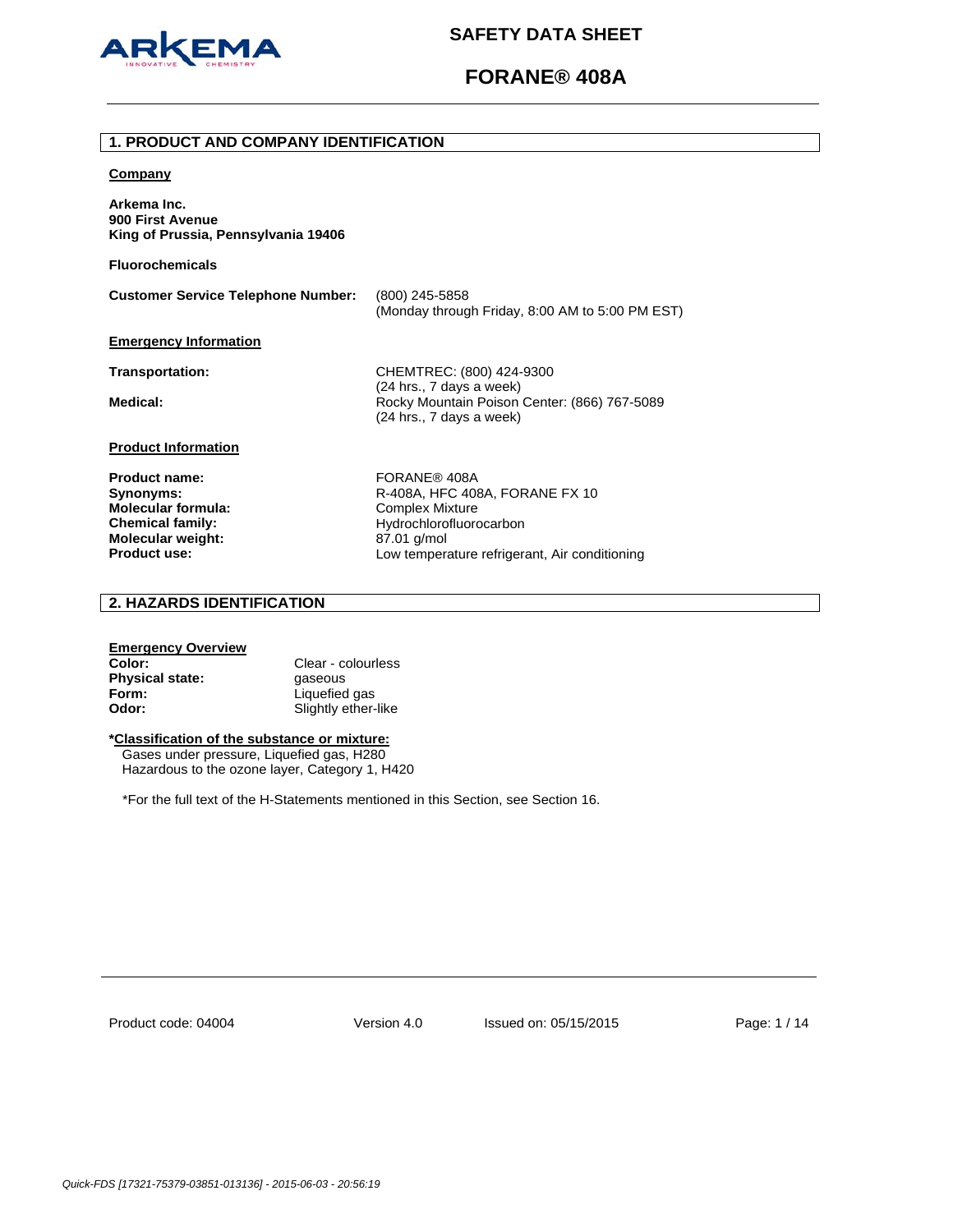

# **FORANE® 408A**

### **1. PRODUCT AND COMPANY IDENTIFICATION**

### **Company**

**Arkema Inc. 900 First Avenue King of Prussia, Pennsylvania 19406** 

**Fluorochemicals**

**Customer Service Telephone Number:** (800) 245-5858 (Monday through Friday, 8:00 AM to 5:00 PM EST) **Emergency Information Transportation:** CHEMTREC: (800) 424-9300 (24 hrs., 7 days a week) Medical: **Medical: Rocky Mountain Poison Center: (866) 767-5089** (24 hrs., 7 days a week) **Product Information** Product name: FORANE® 408A

**Molecular formula:** Complex Mixture **Molecular weight:** 87.01 g/mol<br>**Product use:** Low temperature and the set of the set of the set of the set of the set of the set of the set of the set of the set of the set of the set of the set of the set of the set of t

**Synonyms: R-408A, HFC 408A, FORANE FX 10 Chemical family:** Hydrochlorofluorocarbon Low temperature refrigerant, Air conditioning

# **2. HAZARDS IDENTIFICATION**

# **Emergency Overview**

**Color:** Clear - colourless **Physical state: gaseous Form:** Liquefied gas **Odor:** Slightly ether-like

# **\*Classification of the substance or mixture:**

Gases under pressure, Liquefied gas, H280 Hazardous to the ozone layer, Category 1, H420

\*For the full text of the H-Statements mentioned in this Section, see Section 16.

Product code: 04004

Version 4.0 Issued on: 05/15/2015 Page: 1 / 14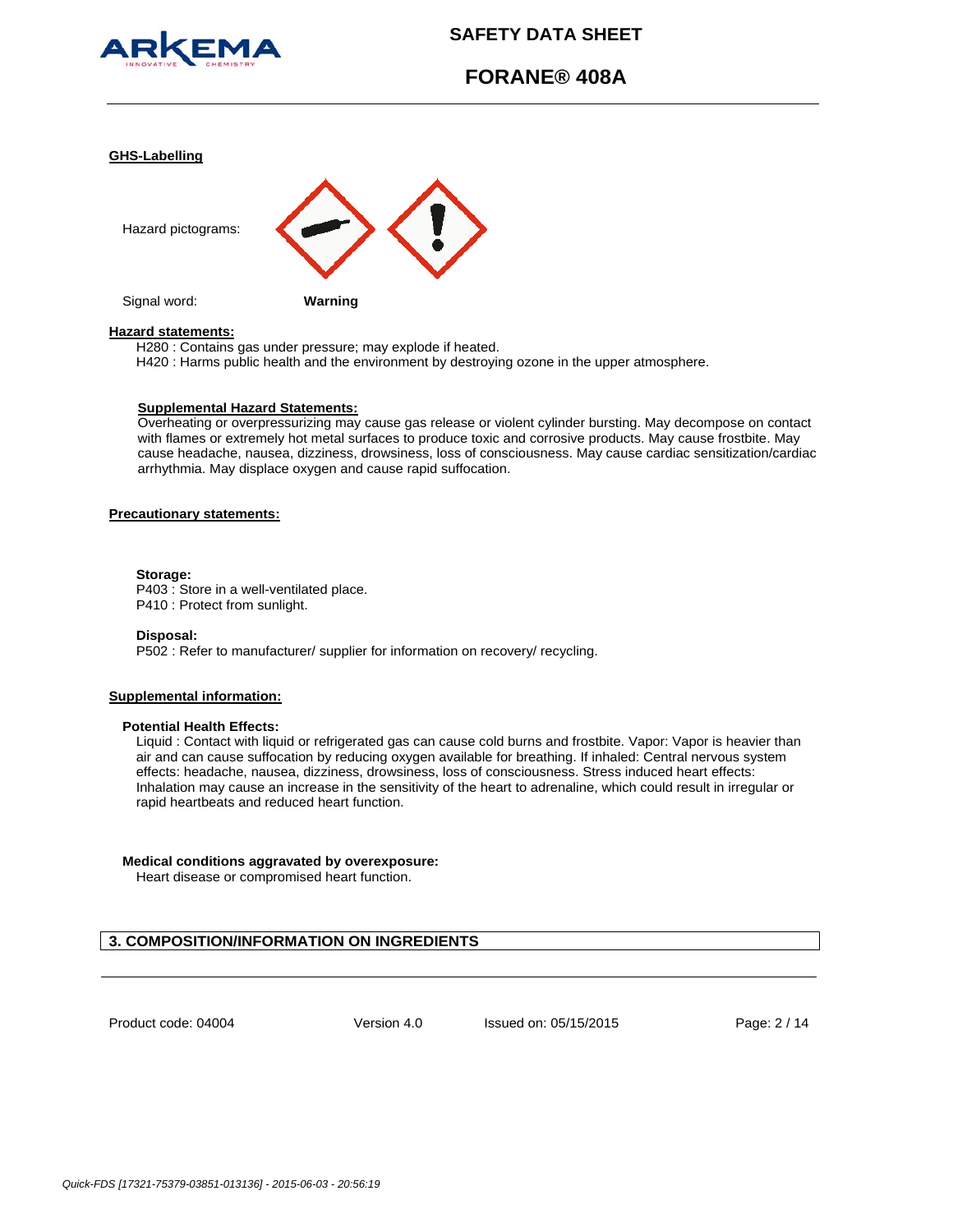

# **FORANE® 408A**

#### **GHS-Labelling**



#### **Hazard statements:**

H280 : Contains gas under pressure; may explode if heated.

H420 : Harms public health and the environment by destroying ozone in the upper atmosphere.

#### **Supplemental Hazard Statements:**

Overheating or overpressurizing may cause gas release or violent cylinder bursting. May decompose on contact with flames or extremely hot metal surfaces to produce toxic and corrosive products. May cause frostbite. May cause headache, nausea, dizziness, drowsiness, loss of consciousness. May cause cardiac sensitization/cardiac arrhythmia. May displace oxygen and cause rapid suffocation.

# **Precautionary statements:**

#### **Storage:**

P403 : Store in a well-ventilated place. P410 : Protect from sunlight.

#### **Disposal:**

P502 : Refer to manufacturer/ supplier for information on recovery/ recycling.

# **Supplemental information:**

### **Potential Health Effects:**

Liquid : Contact with liquid or refrigerated gas can cause cold burns and frostbite. Vapor: Vapor is heavier than air and can cause suffocation by reducing oxygen available for breathing. If inhaled: Central nervous system effects: headache, nausea, dizziness, drowsiness, loss of consciousness. Stress induced heart effects: Inhalation may cause an increase in the sensitivity of the heart to adrenaline, which could result in irregular or rapid heartbeats and reduced heart function.

### **Medical conditions aggravated by overexposure:**

Heart disease or compromised heart function.

# **3. COMPOSITION/INFORMATION ON INGREDIENTS**

Product code: 04004

Version 4.0 Issued on: 05/15/2015 Page: 2 / 14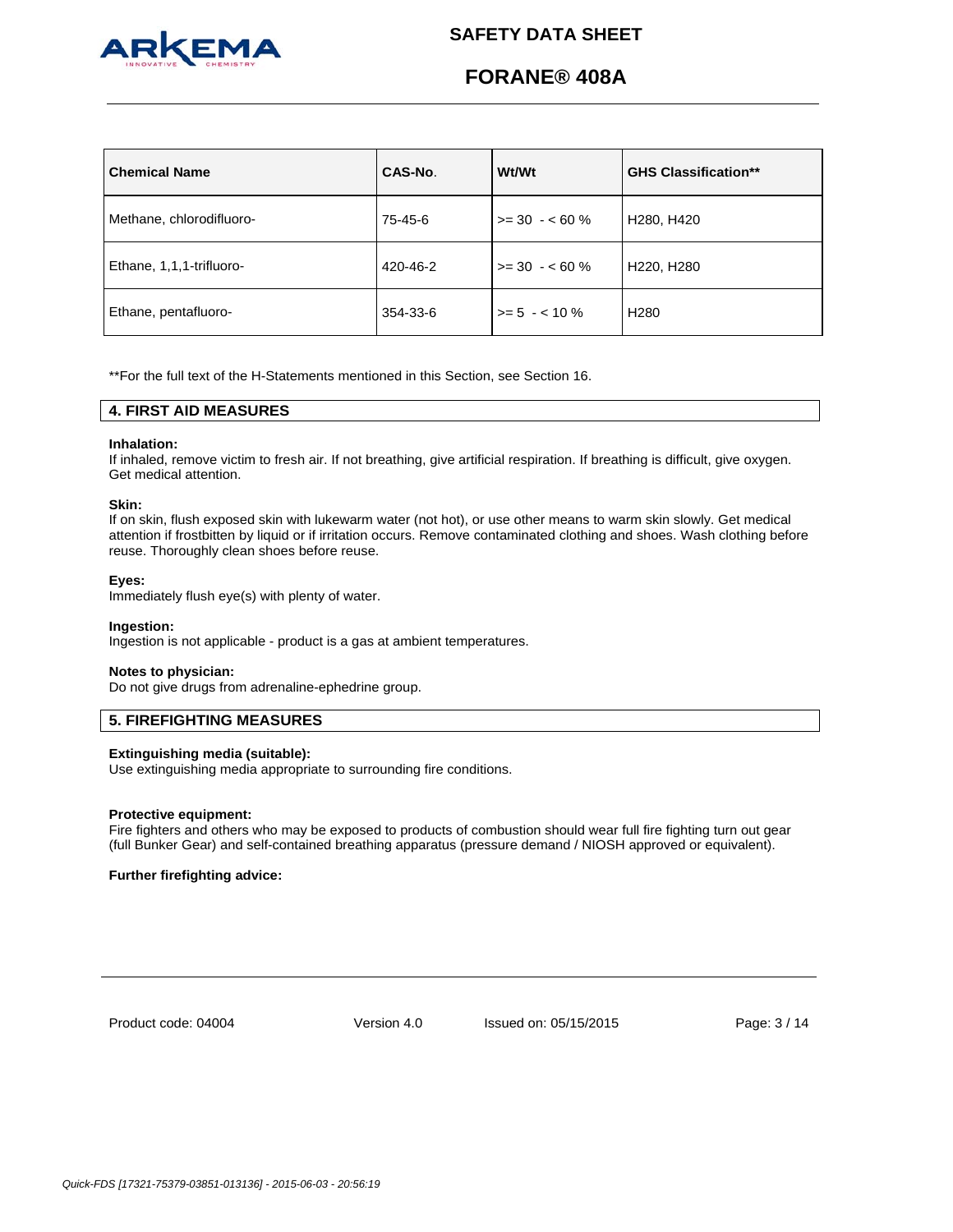

# **FORANE® 408A**

| <b>Chemical Name</b>     | CAS-No.  | <b>Wt/Wt</b>    | <b>GHS Classification**</b>         |
|--------------------------|----------|-----------------|-------------------------------------|
| Methane, chlorodifluoro- | 75-45-6  | $>= 30 - 60 \%$ | H <sub>280</sub> , H <sub>420</sub> |
| Ethane, 1,1,1-trifluoro- | 420-46-2 | $>= 30 - 60 \%$ | H220, H280                          |
| Ethane, pentafluoro-     | 354-33-6 | $>= 5 - 10\%$   | H <sub>280</sub>                    |

\*\*For the full text of the H-Statements mentioned in this Section, see Section 16.

# **4. FIRST AID MEASURES**

### **Inhalation:**

If inhaled, remove victim to fresh air. If not breathing, give artificial respiration. If breathing is difficult, give oxygen. Get medical attention.

#### **Skin:**

If on skin, flush exposed skin with lukewarm water (not hot), or use other means to warm skin slowly. Get medical attention if frostbitten by liquid or if irritation occurs. Remove contaminated clothing and shoes. Wash clothing before reuse. Thoroughly clean shoes before reuse.

#### **Eyes:**

Immediately flush eye(s) with plenty of water.

#### **Ingestion:**

Ingestion is not applicable - product is a gas at ambient temperatures.

#### **Notes to physician:**

Do not give drugs from adrenaline-ephedrine group.

# **5. FIREFIGHTING MEASURES**

#### **Extinguishing media (suitable):**

Use extinguishing media appropriate to surrounding fire conditions.

#### **Protective equipment:**

Fire fighters and others who may be exposed to products of combustion should wear full fire fighting turn out gear (full Bunker Gear) and self-contained breathing apparatus (pressure demand / NIOSH approved or equivalent).

# **Further firefighting advice:**

Product code: 04004

Version 4.0 Issued on: 05/15/2015 Page: 3 / 14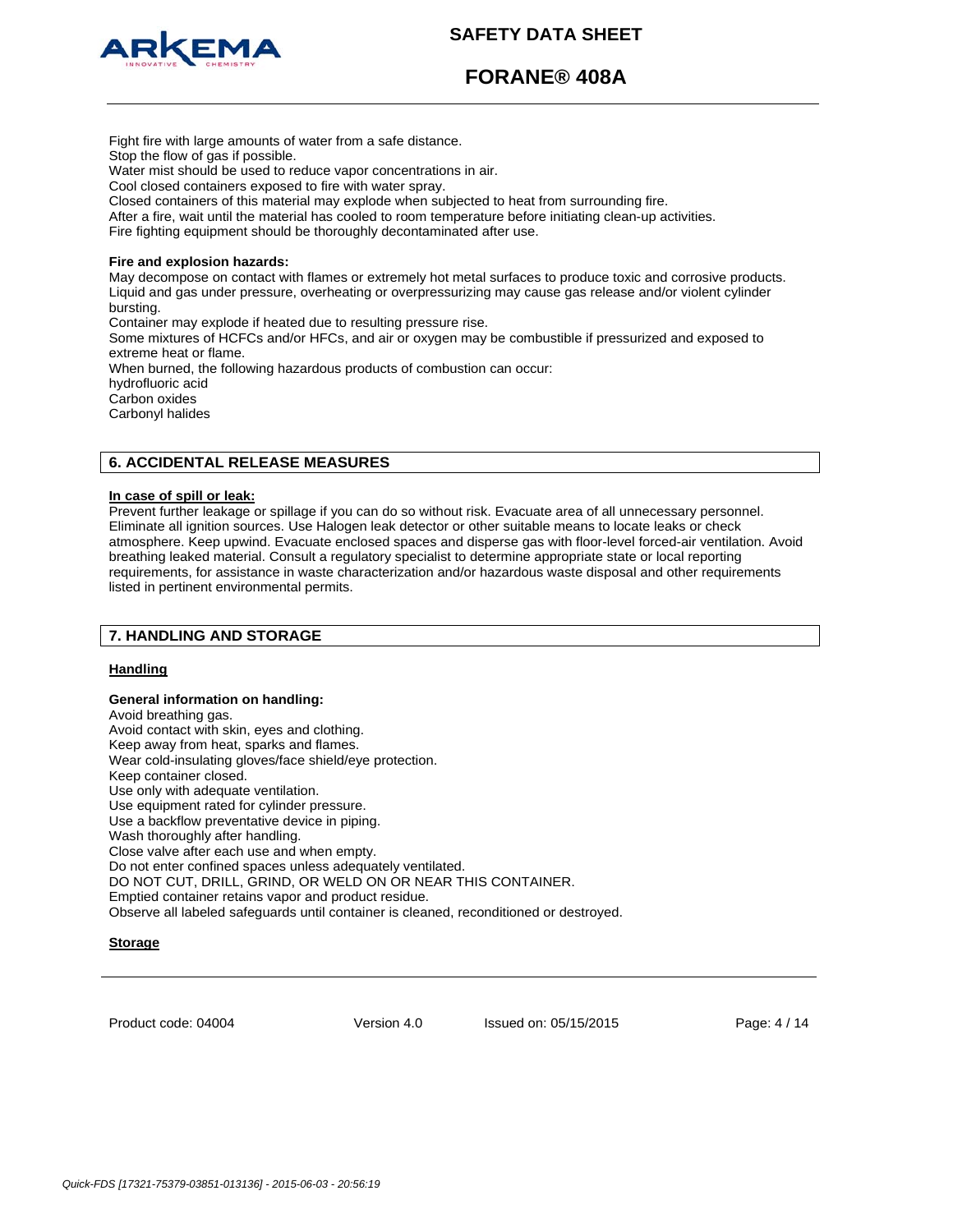



**FORANE® 408A**

Stop the flow of gas if possible. Water mist should be used to reduce vapor concentrations in air. Cool closed containers exposed to fire with water spray. Closed containers of this material may explode when subjected to heat from surrounding fire. After a fire, wait until the material has cooled to room temperature before initiating clean-up activities. Fire fighting equipment should be thoroughly decontaminated after use. **Fire and explosion hazards:** May decompose on contact with flames or extremely hot metal surfaces to produce toxic and corrosive products. Liquid and gas under pressure, overheating or overpressurizing may cause gas release and/or violent cylinder bursting. Container may explode if heated due to resulting pressure rise. Some mixtures of HCFCs and/or HFCs, and air or oxygen may be combustible if pressurized and exposed to extreme heat or flame. When burned, the following hazardous products of combustion can occur: hydrofluoric acid

Carbon oxides Carbonyl halides

# **6. ACCIDENTAL RELEASE MEASURES**

Fight fire with large amounts of water from a safe distance.

# **In case of spill or leak:**

Prevent further leakage or spillage if you can do so without risk. Evacuate area of all unnecessary personnel. Eliminate all ignition sources. Use Halogen leak detector or other suitable means to locate leaks or check atmosphere. Keep upwind. Evacuate enclosed spaces and disperse gas with floor-level forced-air ventilation. Avoid breathing leaked material. Consult a regulatory specialist to determine appropriate state or local reporting requirements, for assistance in waste characterization and/or hazardous waste disposal and other requirements listed in pertinent environmental permits.

# **7. HANDLING AND STORAGE**

# **Handling**

# **General information on handling:**

Avoid breathing gas. Avoid contact with skin, eyes and clothing. Keep away from heat, sparks and flames. Wear cold-insulating gloves/face shield/eye protection. Keep container closed. Use only with adequate ventilation. Use equipment rated for cylinder pressure. Use a backflow preventative device in piping. Wash thoroughly after handling. Close valve after each use and when empty. Do not enter confined spaces unless adequately ventilated. DO NOT CUT, DRILL, GRIND, OR WELD ON OR NEAR THIS CONTAINER. Emptied container retains vapor and product residue. Observe all labeled safeguards until container is cleaned, reconditioned or destroyed.

# **Storage**

Product code: 04004

Version 4.0 Issued on: 05/15/2015 Page: 4 / 14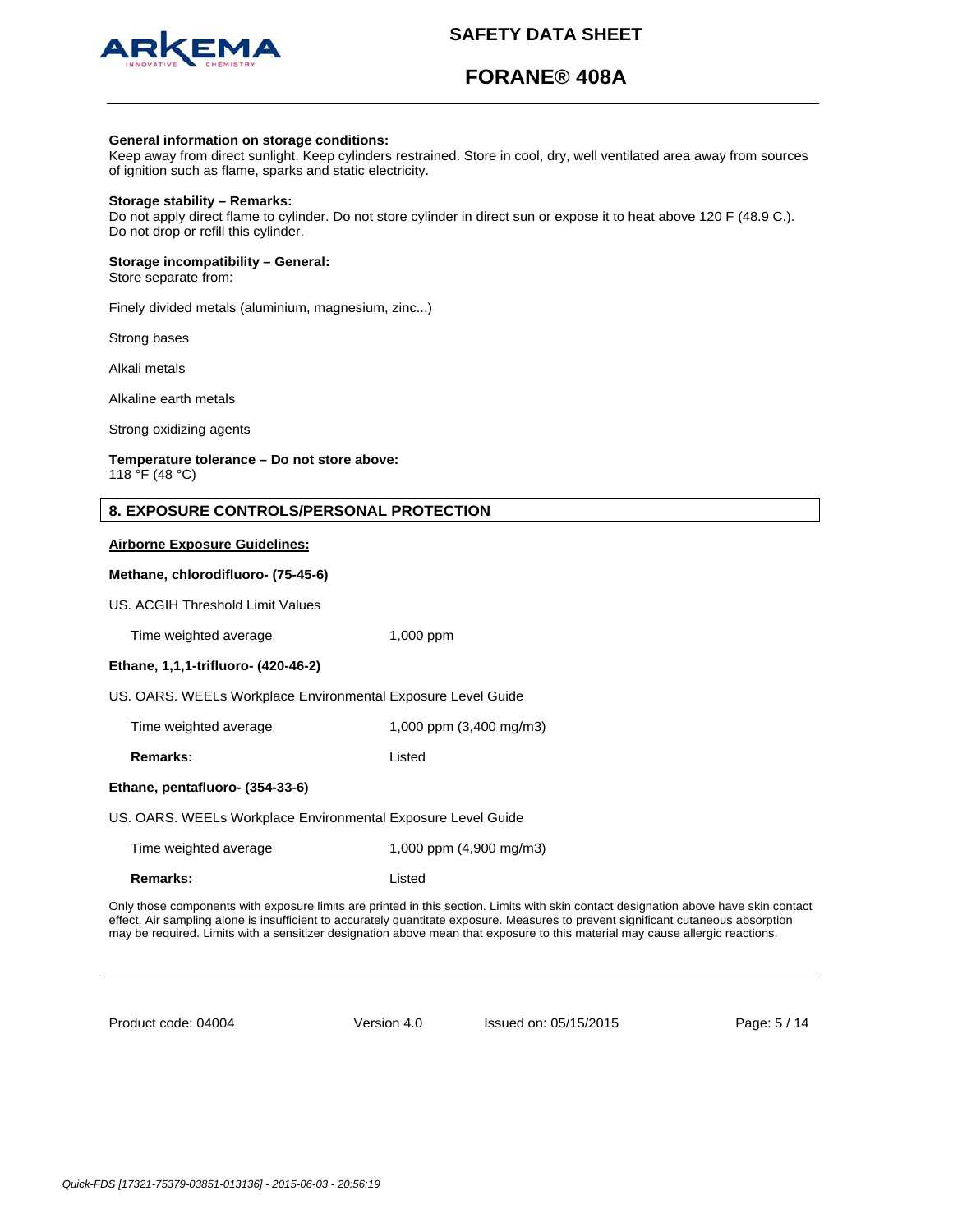

# **FORANE® 408A**

#### **General information on storage conditions:**

Keep away from direct sunlight. Keep cylinders restrained. Store in cool, dry, well ventilated area away from sources of ignition such as flame, sparks and static electricity.

#### **Storage stability – Remarks:**

Do not apply direct flame to cylinder. Do not store cylinder in direct sun or expose it to heat above 120 F (48.9 C.). Do not drop or refill this cylinder.

#### **Storage incompatibility – General:**

Store separate from:

Finely divided metals (aluminium, magnesium, zinc...)

Strong bases

Alkali metals

Alkaline earth metals

Strong oxidizing agents

# **Temperature tolerance – Do not store above:**

118 °F (48 °C)

#### **Airborne Exposure Guidelines:**

### **Methane, chlorodifluoro- (75-45-6)**

US. ACGIH Threshold Limit Values

Time weighted average 1,000 ppm

# **Ethane, 1,1,1-trifluoro- (420-46-2)**

US. OARS. WEELs Workplace Environmental Exposure Level Guide

Time weighted average 1,000 ppm (3,400 mg/m3)

**Remarks:** listed

#### **Ethane, pentafluoro- (354-33-6)**

US. OARS. WEELs Workplace Environmental Exposure Level Guide

| Time weighted average | 1,000 ppm $(4,900 \text{ mg/m3})$ |
|-----------------------|-----------------------------------|
| Remarks:              | Listed                            |

Only those components with exposure limits are printed in this section. Limits with skin contact designation above have skin contact effect. Air sampling alone is insufficient to accurately quantitate exposure. Measures to prevent significant cutaneous absorption may be required. Limits with a sensitizer designation above mean that exposure to this material may cause allergic reactions.

Product code: 04004

Version 4.0 Issued on: 05/15/2015 Page: 5 / 14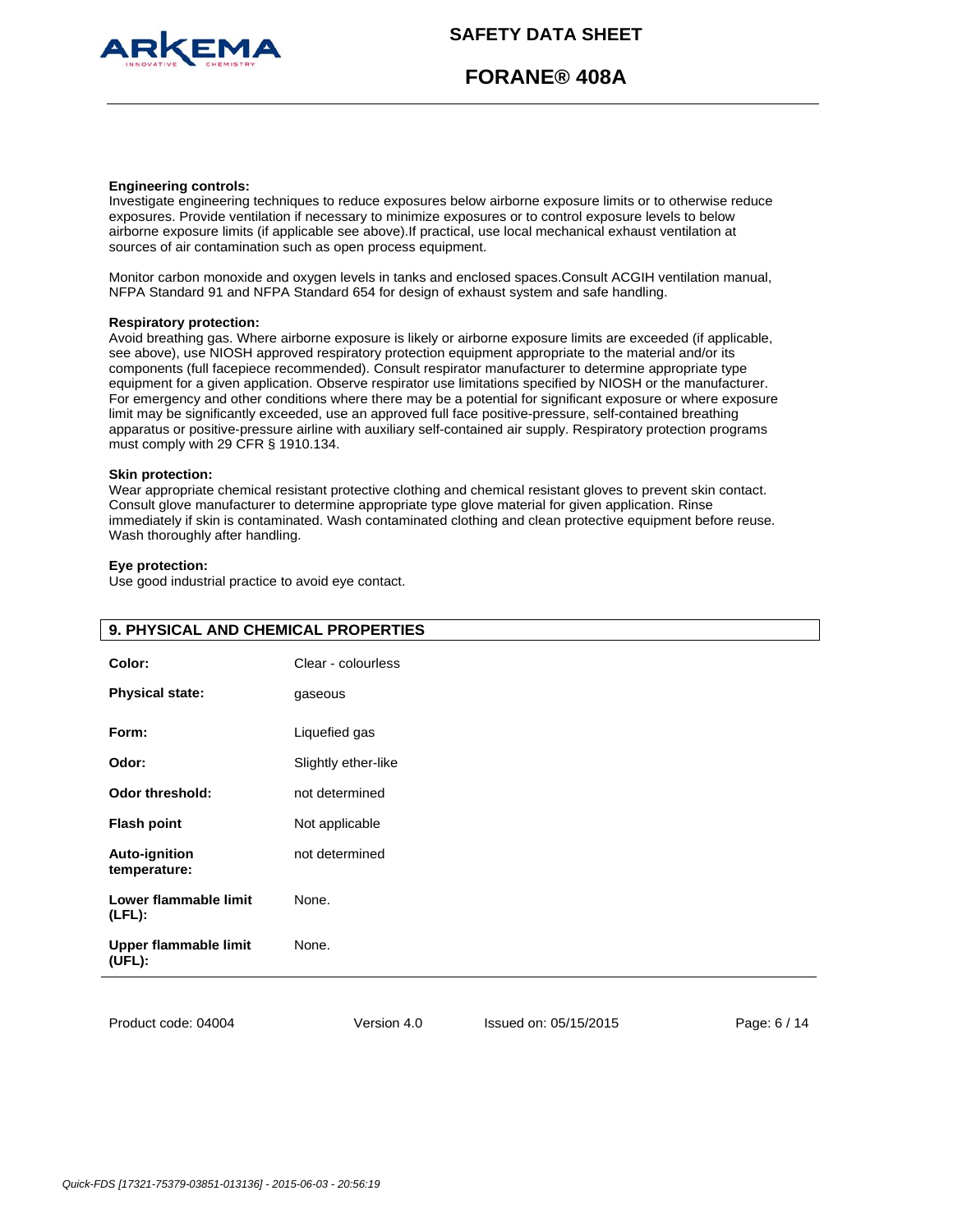

**FORANE® 408A**

#### **Engineering controls:**

Investigate engineering techniques to reduce exposures below airborne exposure limits or to otherwise reduce exposures. Provide ventilation if necessary to minimize exposures or to control exposure levels to below airborne exposure limits (if applicable see above).If practical, use local mechanical exhaust ventilation at sources of air contamination such as open process equipment.

Monitor carbon monoxide and oxygen levels in tanks and enclosed spaces.Consult ACGIH ventilation manual, NFPA Standard 91 and NFPA Standard 654 for design of exhaust system and safe handling.

#### **Respiratory protection:**

Avoid breathing gas. Where airborne exposure is likely or airborne exposure limits are exceeded (if applicable, see above), use NIOSH approved respiratory protection equipment appropriate to the material and/or its components (full facepiece recommended). Consult respirator manufacturer to determine appropriate type equipment for a given application. Observe respirator use limitations specified by NIOSH or the manufacturer. For emergency and other conditions where there may be a potential for significant exposure or where exposure limit may be significantly exceeded, use an approved full face positive-pressure, self-contained breathing apparatus or positive-pressure airline with auxiliary self-contained air supply. Respiratory protection programs must comply with 29 CFR § 1910.134.

## **Skin protection:**

Wear appropriate chemical resistant protective clothing and chemical resistant gloves to prevent skin contact. Consult glove manufacturer to determine appropriate type glove material for given application. Rinse immediately if skin is contaminated. Wash contaminated clothing and clean protective equipment before reuse. Wash thoroughly after handling.

#### **Eye protection:**

Use good industrial practice to avoid eye contact.

| 9. PHYSICAL AND CHEMICAL PROPERTIES  |                     |                       |              |  |  |
|--------------------------------------|---------------------|-----------------------|--------------|--|--|
| Color:                               | Clear - colourless  |                       |              |  |  |
| <b>Physical state:</b>               | gaseous             |                       |              |  |  |
| Form:                                | Liquefied gas       |                       |              |  |  |
| Odor:                                | Slightly ether-like |                       |              |  |  |
| <b>Odor threshold:</b>               | not determined      |                       |              |  |  |
| <b>Flash point</b>                   | Not applicable      |                       |              |  |  |
| <b>Auto-ignition</b><br>temperature: | not determined      |                       |              |  |  |
| Lower flammable limit<br>$(LFL)$ :   | None.               |                       |              |  |  |
| Upper flammable limit<br>(UFL):      | None.               |                       |              |  |  |
|                                      |                     |                       |              |  |  |
| Product code: 04004                  | Version 4.0         | Issued on: 05/15/2015 | Page: 6 / 14 |  |  |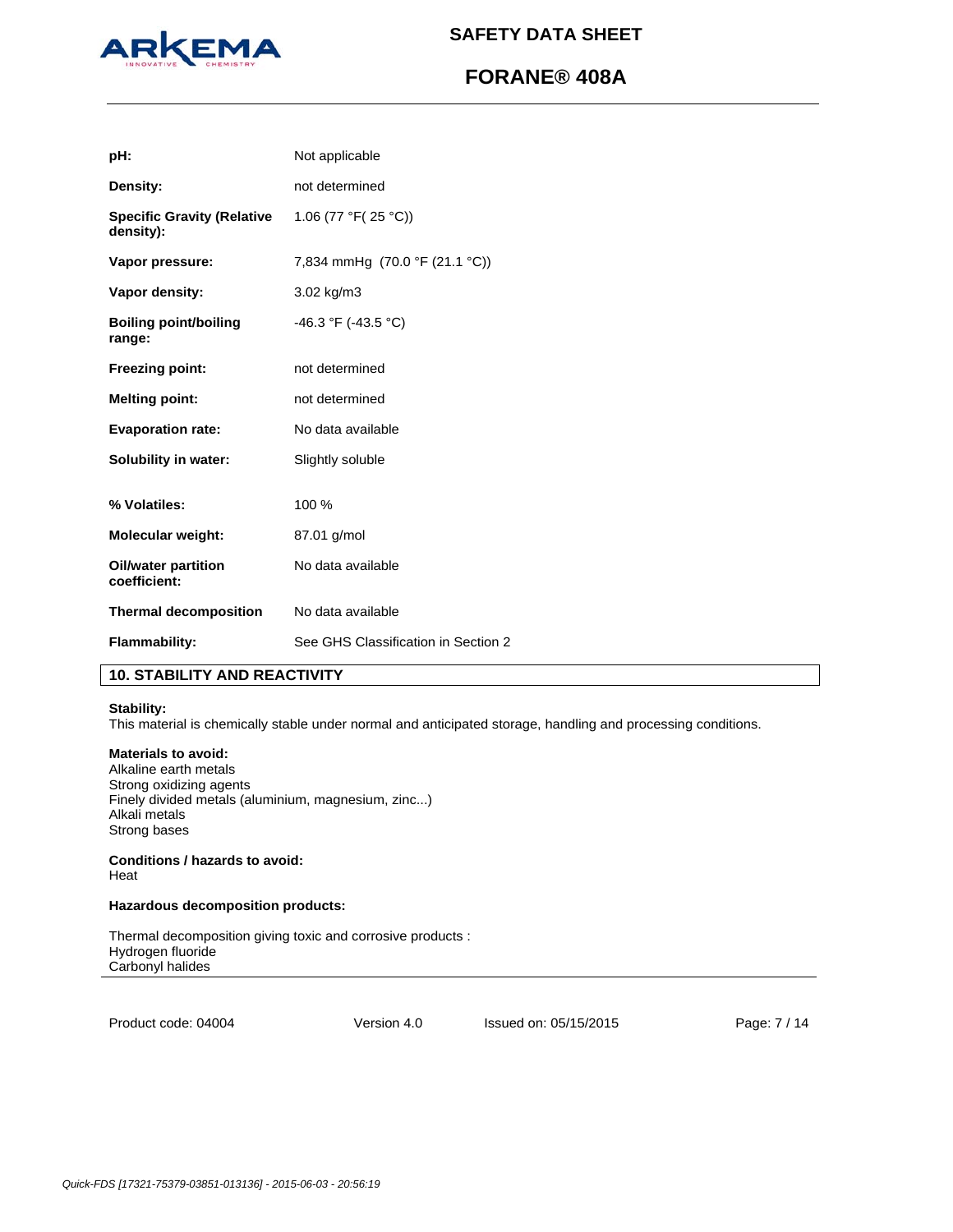

# **FORANE® 408A**

| pH:                                            | Not applicable                      |
|------------------------------------------------|-------------------------------------|
| Density:                                       | not determined                      |
| <b>Specific Gravity (Relative</b><br>density): | 1.06 (77 °F( $25$ °C))              |
| Vapor pressure:                                | 7,834 mmHg (70.0 °F (21.1 °C))      |
| Vapor density:                                 | 3.02 kg/m3                          |
| <b>Boiling point/boiling</b><br>range:         | $-46.3$ °F ( $-43.5$ °C)            |
| <b>Freezing point:</b>                         | not determined                      |
| <b>Melting point:</b>                          | not determined                      |
| <b>Evaporation rate:</b>                       | No data available                   |
| Solubility in water:                           | Slightly soluble                    |
| % Volatiles:                                   | 100 %                               |
| <b>Molecular weight:</b>                       | 87.01 g/mol                         |
| <b>Oil/water partition</b><br>coefficient:     | No data available                   |
| <b>Thermal decomposition</b>                   | No data available                   |
| Flammability:                                  | See GHS Classification in Section 2 |

# **10. STABILITY AND REACTIVITY**

### **Stability:**

This material is chemically stable under normal and anticipated storage, handling and processing conditions.

# **Materials to avoid:**

Alkaline earth metals Strong oxidizing agents Finely divided metals (aluminium, magnesium, zinc...) Alkali metals Strong bases

# **Conditions / hazards to avoid:**  Heat

# **Hazardous decomposition products:**

Thermal decomposition giving toxic and corrosive products : Hydrogen fluoride Carbonyl halides

Product code: 04004

Version 4.0 Issued on: 05/15/2015 Page: 7 / 14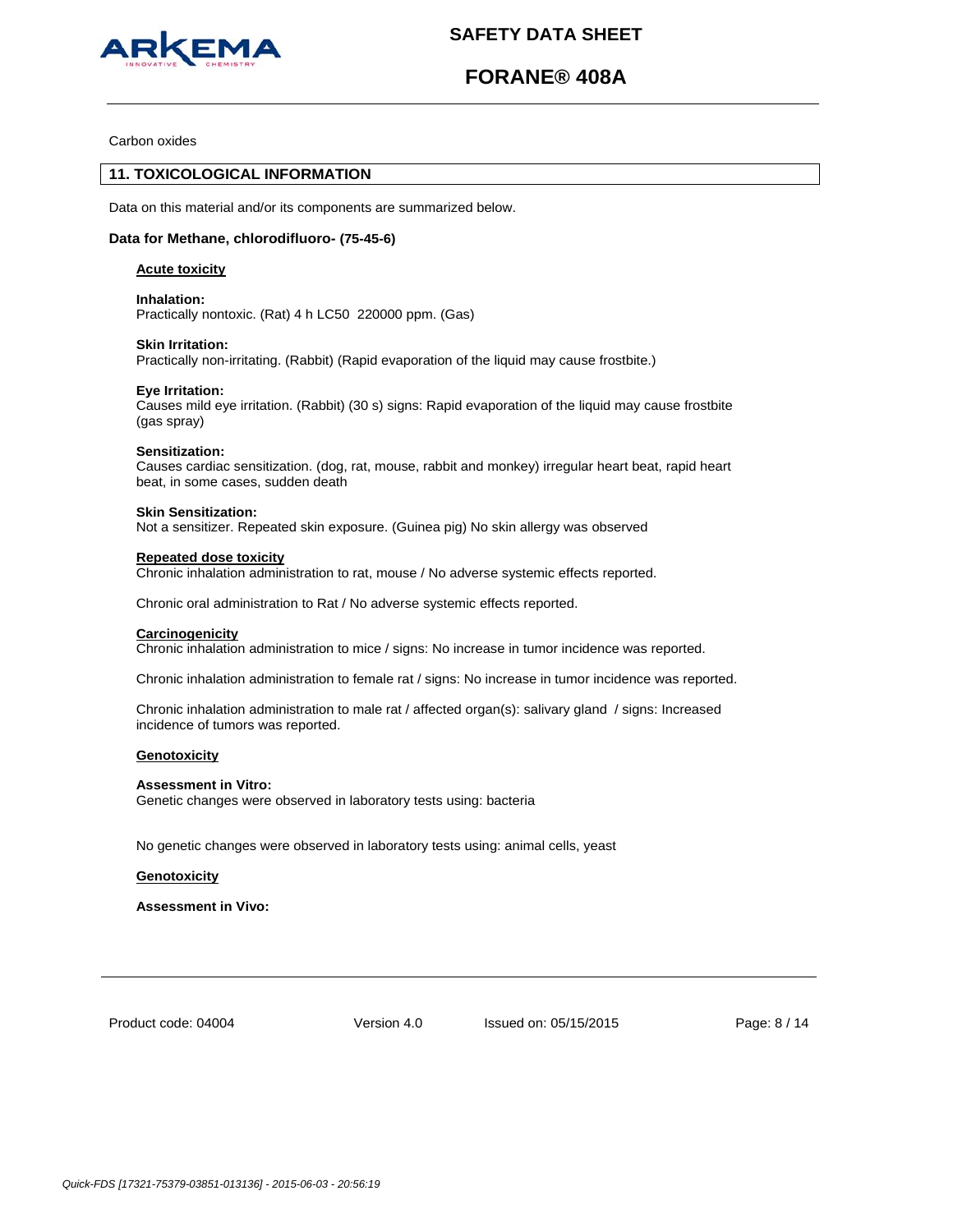

# **FORANE® 408A**

Carbon oxides

# **11. TOXICOLOGICAL INFORMATION**

Data on this material and/or its components are summarized below.

# **Data for Methane, chlorodifluoro- (75-45-6)**

### **Acute toxicity**

**Inhalation:**  Practically nontoxic. (Rat) 4 h LC50 220000 ppm. (Gas)

### **Skin Irritation:**

Practically non-irritating. (Rabbit) (Rapid evaporation of the liquid may cause frostbite.)

### **Eye Irritation:**

Causes mild eye irritation. (Rabbit) (30 s) signs: Rapid evaporation of the liquid may cause frostbite (gas spray)

### **Sensitization:**

Causes cardiac sensitization. (dog, rat, mouse, rabbit and monkey) irregular heart beat, rapid heart beat, in some cases, sudden death

#### **Skin Sensitization:**

Not a sensitizer. Repeated skin exposure. (Guinea pig) No skin allergy was observed

#### **Repeated dose toxicity**

Chronic inhalation administration to rat, mouse / No adverse systemic effects reported.

Chronic oral administration to Rat / No adverse systemic effects reported.

# **Carcinogenicity**

Chronic inhalation administration to mice / signs: No increase in tumor incidence was reported.

Chronic inhalation administration to female rat / signs: No increase in tumor incidence was reported.

Chronic inhalation administration to male rat / affected organ(s): salivary gland / signs: Increased incidence of tumors was reported.

# **Genotoxicity**

#### **Assessment in Vitro:**

Genetic changes were observed in laboratory tests using: bacteria

No genetic changes were observed in laboratory tests using: animal cells, yeast

#### **Genotoxicity**

**Assessment in Vivo:**

Product code: 04004

Version 4.0 Issued on: 05/15/2015 Page: 8 / 14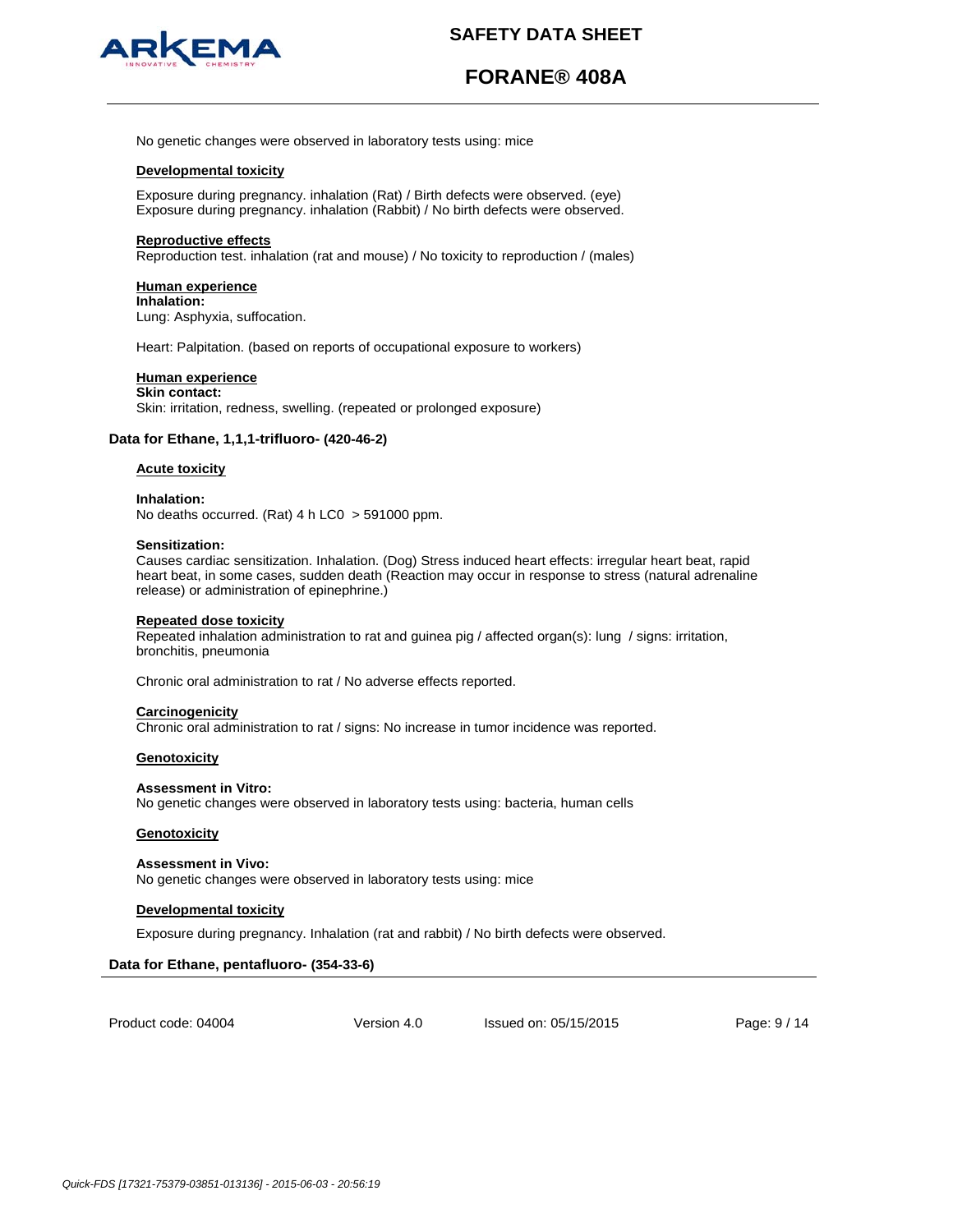

# **FORANE® 408A**

No genetic changes were observed in laboratory tests using: mice

### **Developmental toxicity**

Exposure during pregnancy. inhalation (Rat) / Birth defects were observed. (eye) Exposure during pregnancy. inhalation (Rabbit) / No birth defects were observed.

#### **Reproductive effects**

Reproduction test. inhalation (rat and mouse) / No toxicity to reproduction / (males)

### **Human experience**

**Inhalation:** Lung: Asphyxia, suffocation.

Heart: Palpitation. (based on reports of occupational exposure to workers)

# **Human experience**

**Skin contact:** Skin: irritation, redness, swelling. (repeated or prolonged exposure)

# **Data for Ethane, 1,1,1-trifluoro- (420-46-2)**

# **Acute toxicity**

**Inhalation:**  No deaths occurred. (Rat) 4 h LC0 > 591000 ppm.

#### **Sensitization:**

Causes cardiac sensitization. Inhalation. (Dog) Stress induced heart effects: irregular heart beat, rapid heart beat, in some cases, sudden death (Reaction may occur in response to stress (natural adrenaline release) or administration of epinephrine.)

#### **Repeated dose toxicity**

Repeated inhalation administration to rat and guinea pig / affected organ(s): lung / signs: irritation, bronchitis, pneumonia

Chronic oral administration to rat / No adverse effects reported.

#### **Carcinogenicity**

Chronic oral administration to rat / signs: No increase in tumor incidence was reported.

#### **Genotoxicity**

#### **Assessment in Vitro:**

No genetic changes were observed in laboratory tests using: bacteria, human cells

#### **Genotoxicity**

#### **Assessment in Vivo:**

No genetic changes were observed in laboratory tests using: mice

#### **Developmental toxicity**

Exposure during pregnancy. Inhalation (rat and rabbit) / No birth defects were observed.

# **Data for Ethane, pentafluoro- (354-33-6)**

Product code: 04004

Version 4.0 Issued on: 05/15/2015 Page: 9 / 14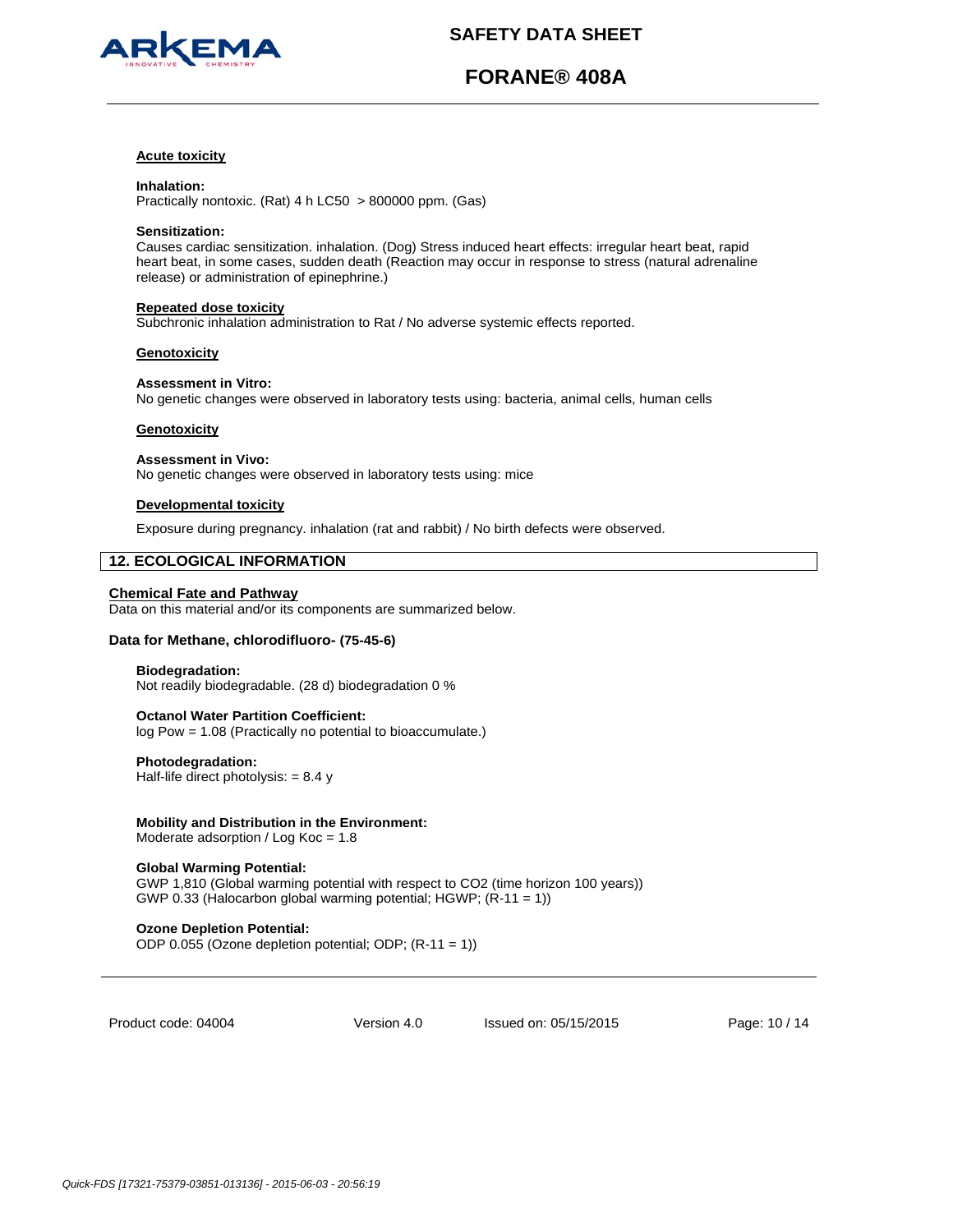

# **FORANE® 408A**

### **Acute toxicity**

#### **Inhalation:**

Practically nontoxic. (Rat) 4 h LC50 > 800000 ppm. (Gas)

#### **Sensitization:**

Causes cardiac sensitization. inhalation. (Dog) Stress induced heart effects: irregular heart beat, rapid heart beat, in some cases, sudden death (Reaction may occur in response to stress (natural adrenaline release) or administration of epinephrine.)

# **Repeated dose toxicity**

Subchronic inhalation administration to Rat / No adverse systemic effects reported.

#### **Genotoxicity**

# **Assessment in Vitro:**

No genetic changes were observed in laboratory tests using: bacteria, animal cells, human cells

### **Genotoxicity**

**Assessment in Vivo:** No genetic changes were observed in laboratory tests using: mice

# **Developmental toxicity**

Exposure during pregnancy. inhalation (rat and rabbit) / No birth defects were observed.

# **12. ECOLOGICAL INFORMATION**

## **Chemical Fate and Pathway**

Data on this material and/or its components are summarized below.

# **Data for Methane, chlorodifluoro- (75-45-6)**

#### **Biodegradation:**

Not readily biodegradable. (28 d) biodegradation 0 %

### **Octanol Water Partition Coefficient:**  log Pow = 1.08 (Practically no potential to bioaccumulate.)

**Photodegradation:** 

Half-life direct photolysis:  $= 8.4 y$ 

# **Mobility and Distribution in the Environment:**

Moderate adsorption / Log Koc = 1.8

# **Global Warming Potential:**

GWP 1,810 (Global warming potential with respect to CO2 (time horizon 100 years)) GWP 0.33 (Halocarbon global warming potential; HGWP; (R-11 = 1))

# **Ozone Depletion Potential:**

ODP 0.055 (Ozone depletion potential; ODP; (R-11 = 1))

Product code: 04004

Version 4.0 Issued on: 05/15/2015 Page: 10 / 14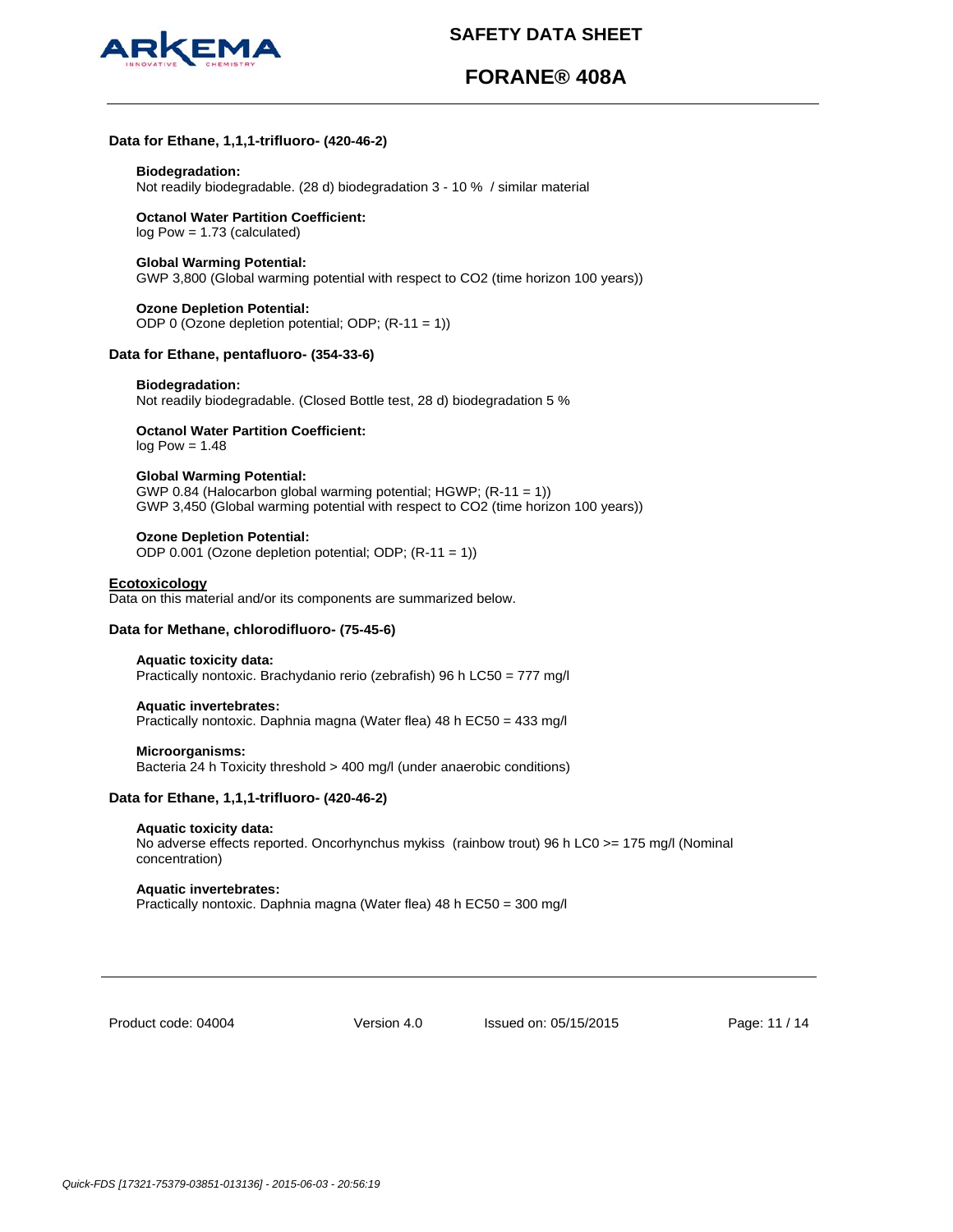

# **FORANE® 408A**

# **Data for Ethane, 1,1,1-trifluoro- (420-46-2)**

#### **Biodegradation:**

Not readily biodegradable. (28 d) biodegradation 3 - 10 % / similar material

**Octanol Water Partition Coefficient:**  log Pow = 1.73 (calculated)

### **Global Warming Potential:**

GWP 3,800 (Global warming potential with respect to CO2 (time horizon 100 years))

# **Ozone Depletion Potential:**  ODP 0 (Ozone depletion potential; ODP; (R-11 = 1))

# **Data for Ethane, pentafluoro- (354-33-6)**

#### **Biodegradation:**

Not readily biodegradable. (Closed Bottle test, 28 d) biodegradation 5 %

**Octanol Water Partition Coefficient:** 

# $log Pow = 1.48$

### **Global Warming Potential:**

GWP 0.84 (Halocarbon global warming potential; HGWP; (R-11 = 1)) GWP 3,450 (Global warming potential with respect to CO2 (time horizon 100 years))

#### **Ozone Depletion Potential:**

ODP 0.001 (Ozone depletion potential; ODP; (R-11 = 1))

# **Ecotoxicology**

Data on this material and/or its components are summarized below.

#### **Data for Methane, chlorodifluoro- (75-45-6)**

#### **Aquatic toxicity data:**

Practically nontoxic. Brachydanio rerio (zebrafish) 96 h LC50 = 777 mg/l

#### **Aquatic invertebrates:**

Practically nontoxic. Daphnia magna (Water flea) 48 h EC50 = 433 mg/l

#### **Microorganisms:**

Bacteria 24 h Toxicity threshold > 400 mg/l (under anaerobic conditions)

# **Data for Ethane, 1,1,1-trifluoro- (420-46-2)**

#### **Aquatic toxicity data:**

No adverse effects reported. Oncorhynchus mykiss (rainbow trout) 96 h LC0 >= 175 mg/l (Nominal concentration)

#### **Aquatic invertebrates:**

Practically nontoxic. Daphnia magna (Water flea) 48 h EC50 = 300 mg/l

Product code: 04004

Version 4.0 Issued on: 05/15/2015 Page: 11 / 14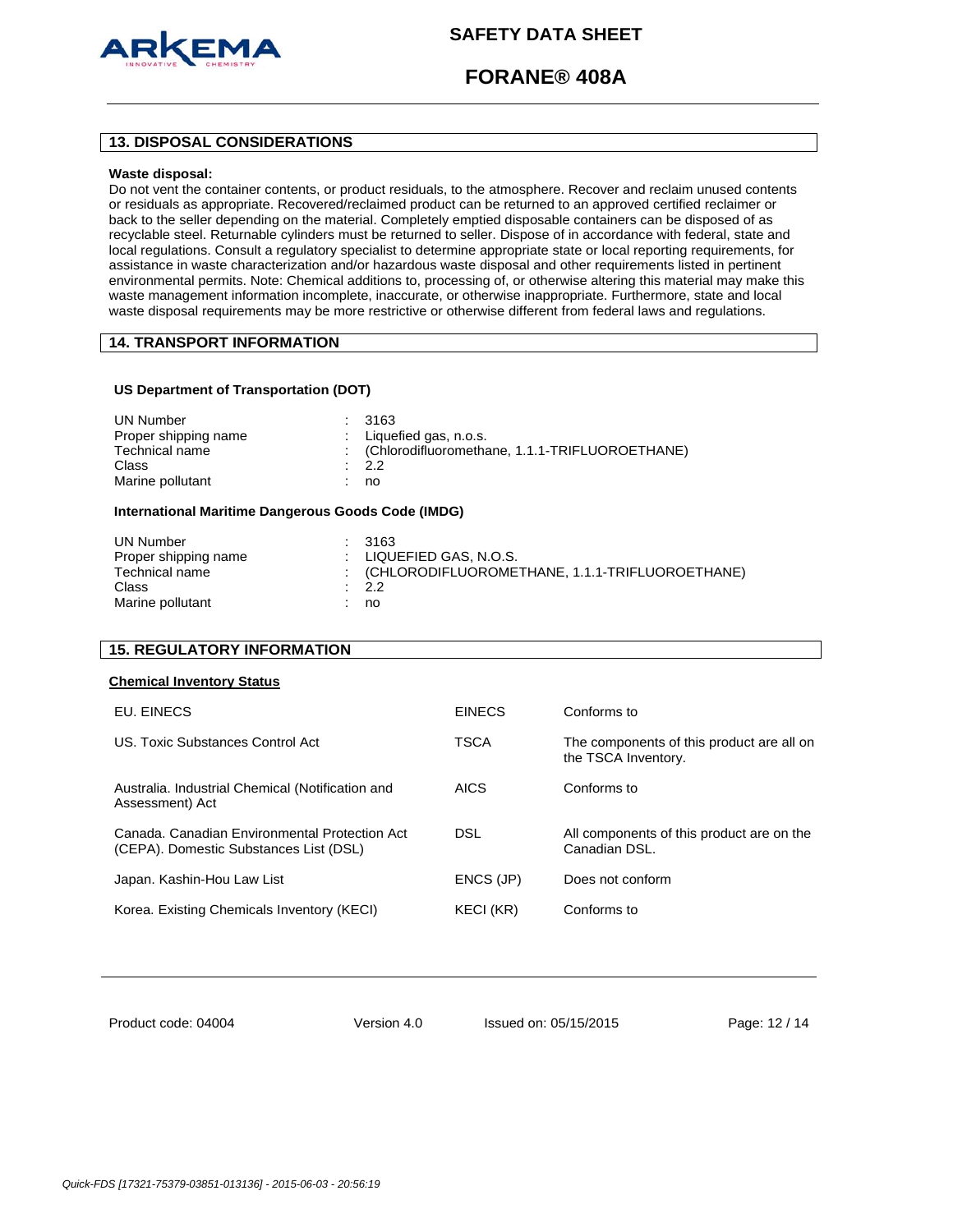

# **FORANE® 408A**

# **13. DISPOSAL CONSIDERATIONS**

### **Waste disposal:**

Do not vent the container contents, or product residuals, to the atmosphere. Recover and reclaim unused contents or residuals as appropriate. Recovered/reclaimed product can be returned to an approved certified reclaimer or back to the seller depending on the material. Completely emptied disposable containers can be disposed of as recyclable steel. Returnable cylinders must be returned to seller. Dispose of in accordance with federal, state and local regulations. Consult a regulatory specialist to determine appropriate state or local reporting requirements, for assistance in waste characterization and/or hazardous waste disposal and other requirements listed in pertinent environmental permits. Note: Chemical additions to, processing of, or otherwise altering this material may make this waste management information incomplete, inaccurate, or otherwise inappropriate. Furthermore, state and local waste disposal requirements may be more restrictive or otherwise different from federal laws and regulations.

# **14. TRANSPORT INFORMATION**

# **US Department of Transportation (DOT)**

| UN Number<br>: 3163<br>Proper shipping name<br>Technical name<br>Class<br>$\cdot$ 2.2<br>Marine pollutant<br>no | : Liquefied gas, $n.o.s.$<br>: (Chlorodifluoromethane, 1.1.1-TRIFLUOROETHANE) |
|-----------------------------------------------------------------------------------------------------------------|-------------------------------------------------------------------------------|
|-----------------------------------------------------------------------------------------------------------------|-------------------------------------------------------------------------------|

# **International Maritime Dangerous Goods Code (IMDG)**

| UN Number            | : 3163                                           |
|----------------------|--------------------------------------------------|
| Proper shipping name | $\pm$ LIQUEFIED GAS, N.O.S.                      |
| Technical name       | : (CHLORODIFLUOROMETHANE, 1.1.1-TRIFLUOROETHANE) |
| Class                | $\therefore$ 2.2                                 |
| Marine pollutant     | no                                               |
|                      |                                                  |

# **15. REGULATORY INFORMATION**

#### **Chemical Inventory Status**

| EU. EINECS                                                                              | <b>EINECS</b> | Conforms to                                                      |
|-----------------------------------------------------------------------------------------|---------------|------------------------------------------------------------------|
| US. Toxic Substances Control Act                                                        | <b>TSCA</b>   | The components of this product are all on<br>the TSCA Inventory. |
| Australia. Industrial Chemical (Notification and<br>Assessment) Act                     | <b>AICS</b>   | Conforms to                                                      |
| Canada, Canadian Environmental Protection Act<br>(CEPA). Domestic Substances List (DSL) | DSL.          | All components of this product are on the<br>Canadian DSL.       |
| Japan. Kashin-Hou Law List                                                              | ENCS (JP)     | Does not conform                                                 |
| Korea. Existing Chemicals Inventory (KECI)                                              | KECI (KR)     | Conforms to                                                      |

Product code: 04004

Version 4.0 Issued on: 05/15/2015 Page: 12 / 14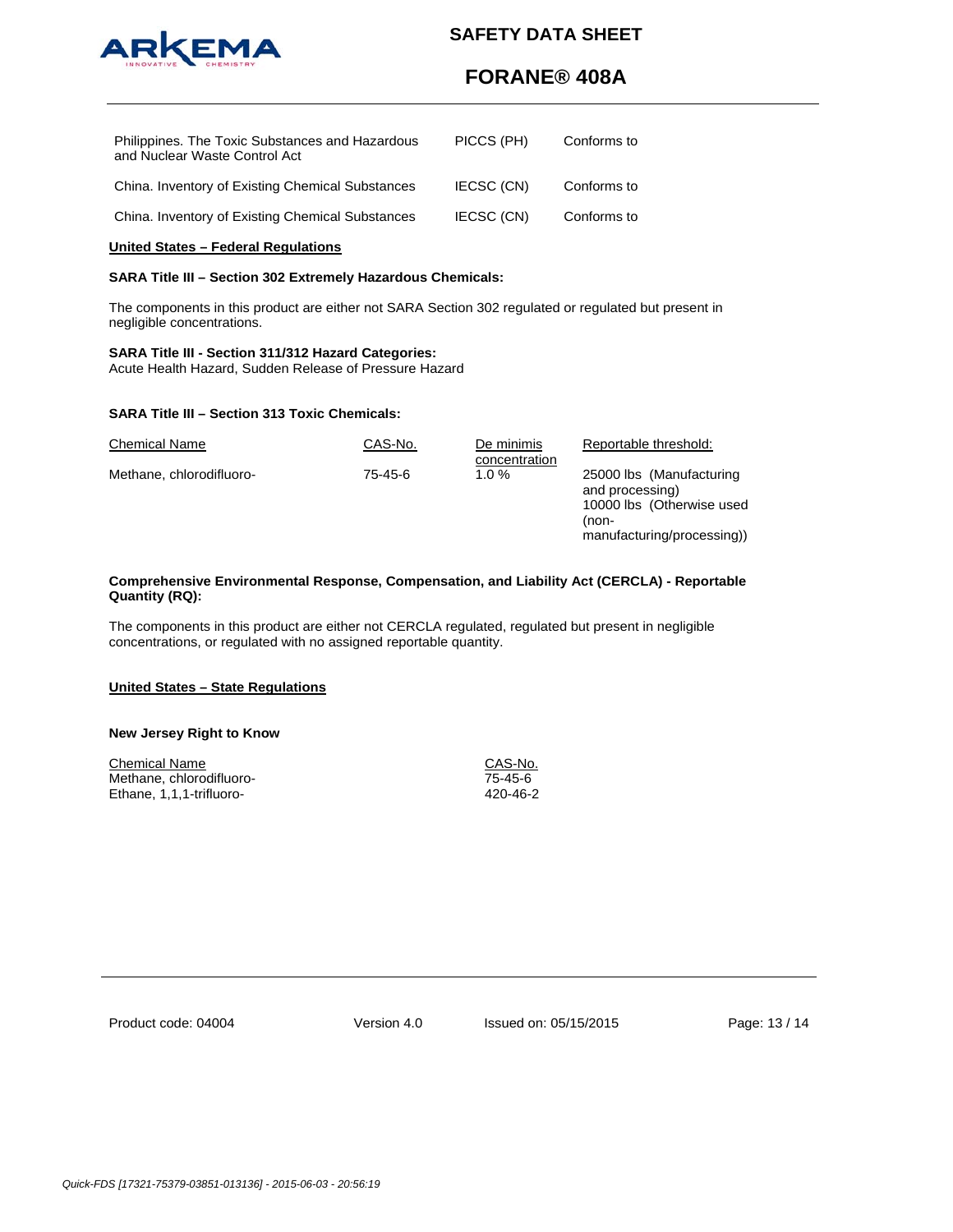

# **FORANE® 408A**

| Philippines. The Toxic Substances and Hazardous<br>and Nuclear Waste Control Act | PICCS (PH) | Conforms to |
|----------------------------------------------------------------------------------|------------|-------------|
| China. Inventory of Existing Chemical Substances                                 | IECSC (CN) | Conforms to |
| China. Inventory of Existing Chemical Substances                                 | IECSC (CN) | Conforms to |

# **United States – Federal Regulations**

# **SARA Title III – Section 302 Extremely Hazardous Chemicals:**

The components in this product are either not SARA Section 302 regulated or regulated but present in negligible concentrations.

# **SARA Title III - Section 311/312 Hazard Categories:**

Acute Health Hazard, Sudden Release of Pressure Hazard

### **SARA Title III – Section 313 Toxic Chemicals:**

| <b>Chemical Name</b>     | CAS-No. | De minimis<br>concentration | Reportable threshold:                                                                                          |
|--------------------------|---------|-----------------------------|----------------------------------------------------------------------------------------------------------------|
| Methane, chlorodifluoro- | 75-45-6 | $1.0 \%$                    | 25000 lbs (Manufacturing<br>and processing)<br>10000 lbs (Otherwise used<br>(non-<br>manufacturing/processing) |

# **Comprehensive Environmental Response, Compensation, and Liability Act (CERCLA) - Reportable Quantity (RQ):**

The components in this product are either not CERCLA regulated, regulated but present in negligible concentrations, or regulated with no assigned reportable quantity.

### **United States – State Regulations**

### **New Jersey Right to Know**

| Chemical Name            | CAS-No.  |
|--------------------------|----------|
| Methane, chlorodifluoro- | 75-45-6  |
| Ethane, 1,1,1-trifluoro- | 420-46-2 |

Version 4.0 Issued on: 05/15/2015 Page: 13 / 14